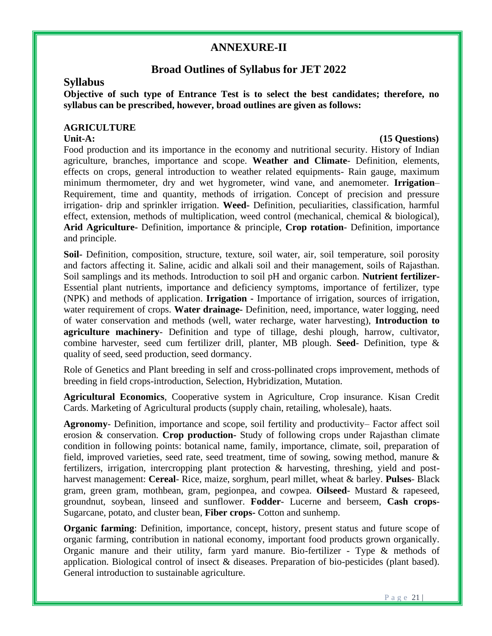# **ANNEXURE-II**

# **Broad Outlines of Syllabus for JET 2022**

### **Syllabus**

**Objective of such type of Entrance Test is to select the best candidates; therefore, no syllabus can be prescribed, however, broad outlines are given as follows:** 

### **AGRICULTURE**

### Unit-A: (15 Questions)

Food production and its importance in the economy and nutritional security. History of Indian agriculture, branches, importance and scope. **Weather and Climate**- Definition, elements, effects on crops, general introduction to weather related equipments- Rain gauge, maximum minimum thermometer, dry and wet hygrometer, wind vane, and anemometer. **Irrigation**– Requirement, time and quantity, methods of irrigation. Concept of precision and pressure irrigation- drip and sprinkler irrigation. **Weed-** Definition, peculiarities, classification, harmful effect, extension, methods of multiplication, weed control (mechanical, chemical & biological), **Arid Agriculture-** Definition, importance & principle, **Crop rotation**- Definition, importance and principle.

**Soil-** Definition, composition, structure, texture, soil water, air, soil temperature, soil porosity and factors affecting it. Saline, acidic and alkali soil and their management, soils of Rajasthan. Soil samplings and its methods. Introduction to soil pH and organic carbon. **Nutrient fertilizer-**Essential plant nutrients, importance and deficiency symptoms, importance of fertilizer, type (NPK) and methods of application. **Irrigation -** Importance of irrigation, sources of irrigation, water requirement of crops. **Water drainage-** Definition, need, importance, water logging, need of water conservation and methods (well, water recharge, water harvesting), **Introduction to agriculture machinery**- Definition and type of tillage, deshi plough, harrow, cultivator, combine harvester, seed cum fertilizer drill, planter, MB plough. **Seed**- Definition, type & quality of seed, seed production, seed dormancy.

Role of Genetics and Plant breeding in self and cross-pollinated crops improvement, methods of breeding in field crops-introduction, Selection, Hybridization, Mutation.

**Agricultural Economics**, Cooperative system in Agriculture, Crop insurance. Kisan Credit Cards. Marketing of Agricultural products (supply chain, retailing, wholesale), haats.

**Agronomy**- Definition, importance and scope, soil fertility and productivity– Factor affect soil erosion & conservation. **Crop production-** Study of following crops under Rajasthan climate condition in following points: botanical name, family, importance, climate, soil, preparation of field, improved varieties, seed rate, seed treatment, time of sowing, sowing method, manure  $\&$ fertilizers, irrigation, intercropping plant protection & harvesting, threshing, yield and postharvest management: **Cereal**- Rice, maize, sorghum, pearl millet, wheat & barley. **Pulses**- Black gram, green gram, mothbean, gram, pegionpea, and cowpea. **Oilseed**- Mustard & rapeseed, groundnut, soybean, linseed and sunflower. **Fodder**- Lucerne and berseem, **Cash crops**-Sugarcane, potato, and cluster bean, **Fiber crops-** Cotton and sunhemp.

**Organic farming**: Definition, importance, concept, history, present status and future scope of organic farming, contribution in national economy, important food products grown organically. Organic manure and their utility, farm yard manure. Bio-fertilizer - Type & methods of application. Biological control of insect & diseases. Preparation of bio-pesticides (plant based). General introduction to sustainable agriculture.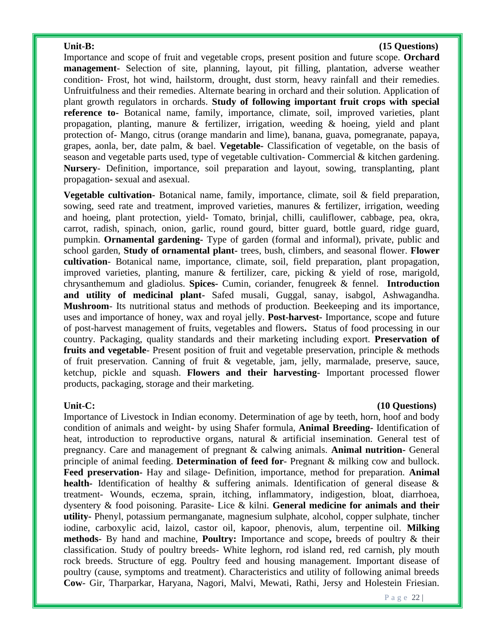### Unit-B: (15 Questions)

Importance and scope of fruit and vegetable crops, present position and future scope. **Orchard management**- Selection of site, planning, layout, pit filling, plantation, adverse weather condition- Frost, hot wind, hailstorm, drought, dust storm, heavy rainfall and their remedies. Unfruitfulness and their remedies. Alternate bearing in orchard and their solution. Application of plant growth regulators in orchards. **Study of following important fruit crops with special reference to-** Botanical name, family, importance, climate, soil, improved varieties, plant propagation, planting, manure  $\&$  fertilizer, irrigation, weeding  $\&$  hoeing, yield and plant protection of- Mango, citrus (orange mandarin and lime), banana, guava, pomegranate, papaya, grapes, aonla, ber, date palm, & bael. **Vegetable-** Classification of vegetable, on the basis of season and vegetable parts used, type of vegetable cultivation- Commercial & kitchen gardening. **Nursery**- Definition, importance, soil preparation and layout, sowing, transplanting, plant propagation**-** sexual and asexual.

**Vegetable cultivation-** Botanical name, family, importance, climate, soil & field preparation, sowing, seed rate and treatment, improved varieties, manures  $\&$  fertilizer, irrigation, weeding and hoeing, plant protection, yield- Tomato, brinjal, chilli, cauliflower, cabbage, pea, okra, carrot, radish, spinach, onion, garlic, round gourd, bitter guard, bottle guard, ridge guard, pumpkin. **Ornamental gardening-** Type of garden (formal and informal), private, public and school garden, **Study of ornamental plant-** trees, bush, climbers, and seasonal flower. **Flower cultivation**- Botanical name, importance, climate, soil, field preparation, plant propagation, improved varieties, planting, manure & fertilizer, care, picking & yield of rose, marigold, chrysanthemum and gladiolus. **Spices-** Cumin, coriander, fenugreek & fennel. **Introduction and utility of medicinal plant-** Safed musali, Guggal, sanay, isabgol, Ashwagandha. **Mushroom**- Its nutritional status and methods of production. Beekeeping and its importance, uses and importance of honey, wax and royal jelly. **Post-harvest-** Importance, scope and future of post-harvest management of fruits, vegetables and flowers**.** Status of food processing in our country. Packaging, quality standards and their marketing including export. **Preservation of fruits and vegetable**- Present position of fruit and vegetable preservation, principle & methods of fruit preservation. Canning of fruit & vegetable, jam, jelly, marmalade, preserve, sauce, ketchup, pickle and squash. **Flowers and their harvesting**- Important processed flower products, packaging, storage and their marketing.

### Unit-C: (10 Questions)

Importance of Livestock in Indian economy. Determination of age by teeth, horn, hoof and body condition of animals and weight**-** by using Shafer formula, **Animal Breeding-** Identification of heat, introduction to reproductive organs, natural & artificial insemination. General test of pregnancy. Care and management of pregnant & calwing animals. **Animal nutrition-** General principle of animal feeding. **Determination of feed for**- Pregnant & milking cow and bullock. **Feed preservation-** Hay and silage- Definition, importance, method for preparation. **Animal health-** Identification of healthy & suffering animals. Identification of general disease & treatment- Wounds, eczema, sprain, itching, inflammatory, indigestion, bloat, diarrhoea, dysentery & food poisoning. Parasite- Lice & kilni. **General medicine for animals and their utility-** Phenyl, potassium permanganate, magnesium sulphate, alcohol, copper sulphate, tincher iodine, carboxylic acid, laizol, castor oil, kapoor, phenovis, alum, terpentine oil. **Milking methods**- By hand and machine, **Poultry:** Importance and scope**,** breeds of poultry & their classification. Study of poultry breeds- White leghorn, rod island red, red carnish, ply mouth rock breeds. Structure of egg. Poultry feed and housing management. Important disease of poultry (cause, symptoms and treatment). Characteristics and utility of following animal breeds **Cow**- Gir, Tharparkar, Haryana, Nagori, Malvi, Mewati, Rathi, Jersy and Holestein Friesian.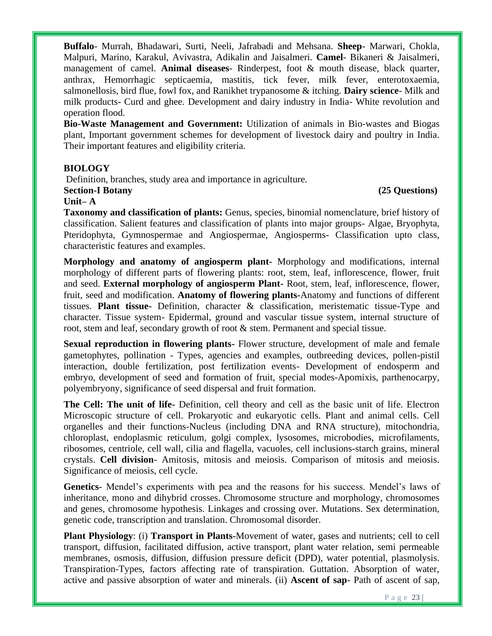**Buffalo**- Murrah, Bhadawari, Surti, Neeli, Jafrabadi and Mehsana. **Sheep**- Marwari, Chokla, Malpuri, Marino, Karakul, Avivastra, Adikalin and Jaisalmeri. **Camel**- Bikaneri & Jaisalmeri, management of camel. **Animal diseases**- Rinderpest, foot & mouth disease, black quarter, anthrax, Hemorrhagic septicaemia, mastitis, tick fever, milk fever, enterotoxaemia, salmonellosis, bird flue, fowl fox, and Ranikhet trypanosome & itching. **Dairy science**- Milk and milk products**-** Curd and ghee. Development and dairy industry in India- White revolution and operation flood.

**Bio-Waste Management and Government:** Utilization of animals in Bio-wastes and Biogas plant, Important government schemes for development of livestock dairy and poultry in India. Their important features and eligibility criteria.

# **BIOLOGY**

Definition, branches, study area and importance in agriculture.

### **Section-I Botany (25 Questions)**

### **Unit– A**

**Taxonomy and classification of plants:** Genus, species, binomial nomenclature, brief history of classification. Salient features and classification of plants into major groups- Algae, Bryophyta, Pteridophyta, Gymnospermae and Angiospermae, Angiosperms- Classification upto class, characteristic features and examples.

**Morphology and anatomy of angiosperm plant-** Morphology and modifications, internal morphology of different parts of flowering plants: root, stem, leaf, inflorescence, flower, fruit and seed. **External morphology of angiosperm Plant-** Root, stem, leaf, inflorescence, flower, fruit, seed and modification. **Anatomy of flowering plants-**Anatomy and functions of different tissues. **Plant tissue-** Definition, character & classification, meristematic tissue-Type and character. Tissue system- Epidermal, ground and vascular tissue system, internal structure of root, stem and leaf, secondary growth of root & stem. Permanent and special tissue.

**Sexual reproduction in flowering plants-** Flower structure, development of male and female gametophytes, pollination - Types, agencies and examples, outbreeding devices, pollen-pistil interaction, double fertilization, post fertilization events- Development of endosperm and embryo, development of seed and formation of fruit, special modes-Apomixis, parthenocarpy, polyembryony, significance of seed dispersal and fruit formation.

**The Cell: The unit of life-** Definition, cell theory and cell as the basic unit of life. Electron Microscopic structure of cell. Prokaryotic and eukaryotic cells. Plant and animal cells. Cell organelles and their functions-Nucleus (including DNA and RNA structure), mitochondria, chloroplast, endoplasmic reticulum, golgi complex, lysosomes, microbodies, microfilaments, ribosomes, centriole, cell wall, cilia and flagella, vacuoles, cell inclusions-starch grains, mineral crystals. **Cell division**- Amitosis, mitosis and meiosis. Comparison of mitosis and meiosis. Significance of meiosis, cell cycle.

**Genetics**- Mendel's experiments with pea and the reasons for his success. Mendel's laws of inheritance, mono and dihybrid crosses. Chromosome structure and morphology, chromosomes and genes, chromosome hypothesis. Linkages and crossing over. Mutations. Sex determination, genetic code, transcription and translation. Chromosomal disorder.

**Plant Physiology**: (i) **Transport in Plants-**Movement of water, gases and nutrients; cell to cell transport, diffusion, facilitated diffusion, active transport, plant water relation, semi permeable membranes, osmosis, diffusion, diffusion pressure deficit (DPD), water potential, plasmolysis. Transpiration-Types, factors affecting rate of transpiration. Guttation. Absorption of water, active and passive absorption of water and minerals. (ii) **Ascent of sap**- Path of ascent of sap,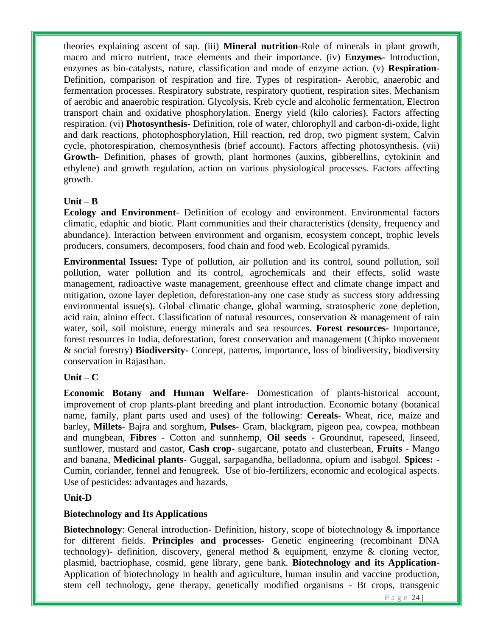theories explaining ascent of sap. (iii) **Mineral nutrition**-Role of minerals in plant growth, macro and micro nutrient, trace elements and their importance. (iv) **Enzymes-** Introduction, enzymes as bio-catalysts, nature, classification and mode of enzyme action. (v) **Respiration**-Definition, comparison of respiration and fire. Types of respiration- Aerobic, anaerobic and fermentation processes. Respiratory substrate, respiratory quotient, respiration sites. Mechanism of aerobic and anaerobic respiration. Glycolysis, Kreb cycle and alcoholic fermentation, Electron transport chain and oxidative phosphorylation. Energy yield (kilo calories). Factors affecting respiration. (vi) **Photosynthesis**- Definition, role of water, chlorophyll and carbon-di-oxide, light and dark reactions, photophosphorylation, Hill reaction, red drop, two pigment system, Calvin cycle, photorespiration, chemosynthesis (brief account). Factors affecting photosynthesis. (vii) **Growth**- Definition, phases of growth, plant hormones (auxins, gibberellins, cytokinin and ethylene) and growth regulation, action on various physiological processes. Factors affecting growth.

# **Unit – B**

**Ecology and Environment**- Definition of ecology and environment. Environmental factors climatic, edaphic and biotic. Plant communities and their characteristics (density, frequency and abundance). Interaction between environment and organism, ecosystem concept, trophic levels producers, consumers, decomposers, food chain and food web. Ecological pyramids.

**Environmental Issues:** Type of pollution, air pollution and its control, sound pollution, soil pollution, water pollution and its control, agrochemicals and their effects, solid waste management, radioactive waste management, greenhouse effect and climate change impact and mitigation, ozone layer depletion, deforestation-any one case study as success story addressing environmental issue(s). Global climatic change, global warming, stratospheric zone depletion, acid rain, alnino effect. Classification of natural resources, conservation & management of rain water, soil, soil moisture, energy minerals and sea resources. **Forest resources-** Importance, forest resources in India, deforestation, forest conservation and management (Chipko movement & social forestry) **Biodiversity-** Concept, patterns, importance, loss of biodiversity, biodiversity conservation in Rajasthan.

# $Unit - C$

**Economic Botany and Human Welfare**- Domestication of plants-historical account, improvement of crop plants-plant breeding and plant introduction. Economic botany (botanical name, family, plant parts used and uses) of the following: **Cereals**- Wheat, rice, maize and barley, **Millets**- Bajra and sorghum, **Pulses**- Gram, blackgram, pigeon pea, cowpea, mothbean and mungbean, **Fibres** - Cotton and sunnhemp, **Oil seeds** - Groundnut, rapeseed, linseed, sunflower, mustard and castor, **Cash crop-** sugarcane, potato and clusterbean, **Fruits** - Mango and banana, **Medicinal plants**- Guggal, sarpagandha, belladonna, opium and isabgol. **Spices:** - Cumin, coriander, fennel and fenugreek. Use of bio-fertilizers, economic and ecological aspects. Use of pesticides: advantages and hazards,

# **Unit-D**

### **Biotechnology and Its Applications**

**Biotechnology**: General introduction- Definition, history, scope of biotechnology & importance for different fields. **Principles and processes-** Genetic engineering (recombinant DNA technology)- definition, discovery, general method & equipment, enzyme & cloning vector, plasmid, bactriophase, cosmid, gene library, gene bank. **Biotechnology and its Application-**Application of biotechnology in health and agriculture, human insulin and vaccine production, stem cell technology, gene therapy, genetically modified organisms - Bt crops, transgenic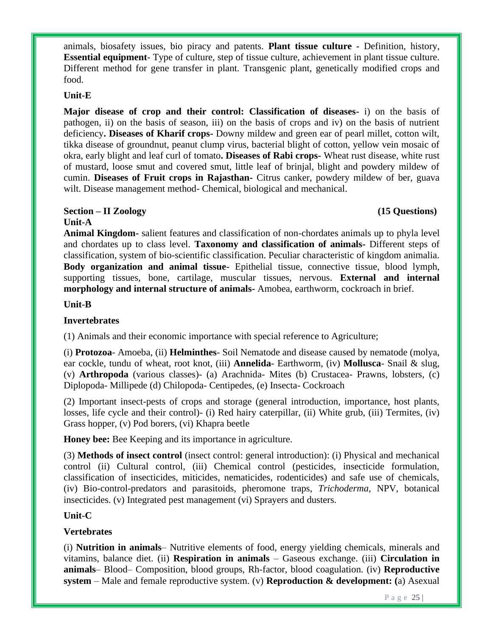animals, biosafety issues, bio piracy and patents. **Plant tissue culture -** Definition, history, **Essential equipment**- Type of culture, step of tissue culture, achievement in plant tissue culture. Different method for gene transfer in plant. Transgenic plant, genetically modified crops and food.

# **Unit-E**

**Major disease of crop and their control: Classification of diseases-** i) on the basis of pathogen, ii) on the basis of season, iii) on the basis of crops and iv) on the basis of nutrient deficiency**. Diseases of Kharif crops-** Downy mildew and green ear of pearl millet, cotton wilt, tikka disease of groundnut, peanut clump virus, bacterial blight of cotton, yellow vein mosaic of okra, early blight and leaf curl of tomato**. Diseases of Rabi crops-** Wheat rust disease, white rust of mustard, loose smut and covered smut, little leaf of brinjal, blight and powdery mildew of cumin. **Diseases of Fruit crops in Rajasthan-** Citrus canker, powdery mildew of ber, guava wilt. Disease management method- Chemical, biological and mechanical.

# **Section – II Zoology (15 Questions)**

# **Unit-A**

**Animal Kingdom-** salient features and classification of non-chordates animals up to phyla level and chordates up to class level. **Taxonomy and classification of animals-** Different steps of classification, system of bio-scientific classification. Peculiar characteristic of kingdom animalia. **Body organization and animal tissue-** Epithelial tissue, connective tissue, blood lymph, supporting tissues, bone, cartilage, muscular tissues, nervous. **External and internal morphology and internal structure of animals-** Amobea, earthworm, cockroach in brief.

# **Unit-B**

# **Invertebrates**

(1) Animals and their economic importance with special reference to Agriculture;

(i) **Protozoa**- Amoeba, (ii) **Helminthes**- Soil Nematode and disease caused by nematode (molya, ear cockle, tundu of wheat, root knot, (iii) **Annelida**- Earthworm, (iv) **Mollusca**- Snail & slug, (v) **Arthropoda** (various classes)- (a) Arachnida- Mites (b) Crustacea- Prawns, lobsters, (c) Diplopoda- Millipede (d) Chilopoda- Centipedes, (e) Insecta- Cockroach

(2) Important insect-pests of crops and storage (general introduction, importance, host plants, losses, life cycle and their control)- (i) Red hairy caterpillar, (ii) White grub, (iii) Termites, (iv) Grass hopper, (v) Pod borers, (vi) Khapra beetle

**Honey bee:** Bee Keeping and its importance in agriculture.

(3) **Methods of insect control** (insect control: general introduction): (i) Physical and mechanical control (ii) Cultural control, (iii) Chemical control (pesticides, insecticide formulation, classification of insecticides, miticides, nematicides, rodenticides) and safe use of chemicals, (iv) Bio-control-predators and parasitoids, pheromone traps, *Trichoderma*, NPV, botanical insecticides. (v) Integrated pest management (vi) Sprayers and dusters.

# **Unit-C**

# **Vertebrates**

(i) **Nutrition in animals**– Nutritive elements of food, energy yielding chemicals, minerals and vitamins, balance diet. (ii) **Respiration in animals** – Gaseous exchange. (iii) **Circulation in animals**– Blood– Composition, blood groups, Rh-factor, blood coagulation. (iv) **Reproductive system** – Male and female reproductive system. (v) **Reproduction & development: (**a) Asexual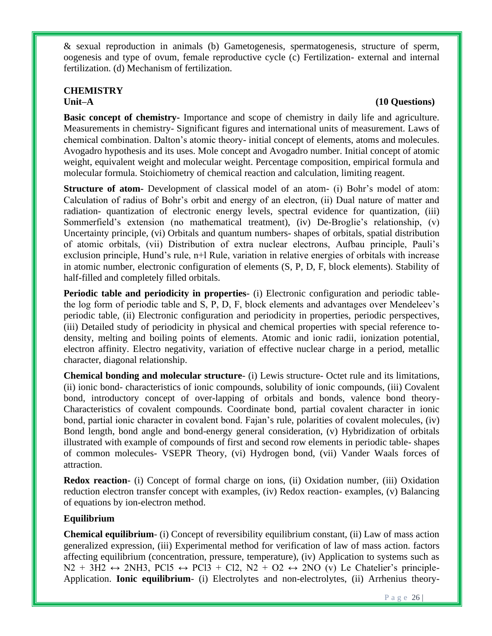& sexual reproduction in animals (b) Gametogenesis, spermatogenesis, structure of sperm, oogenesis and type of ovum, female reproductive cycle (c) Fertilization- external and internal fertilization. (d) Mechanism of fertilization.

# **CHEMISTRY**

# Unit–A (10 Questions)

**Basic concept of chemistry-** Importance and scope of chemistry in daily life and agriculture. Measurements in chemistry- Significant figures and international units of measurement. Laws of chemical combination. Dalton's atomic theory- initial concept of elements, atoms and molecules. Avogadro hypothesis and its uses. Mole concept and Avogadro number. Initial concept of atomic weight, equivalent weight and molecular weight. Percentage composition, empirical formula and molecular formula. Stoichiometry of chemical reaction and calculation, limiting reagent.

**Structure of atom-** Development of classical model of an atom- (i) Bohr's model of atom: Calculation of radius of Bohr's orbit and energy of an electron, (ii) Dual nature of matter and radiation- quantization of electronic energy levels, spectral evidence for quantization, (iii) Sommerfield's extension (no mathematical treatment), (iv) De-Broglie's relationship, (v) Uncertainty principle, (vi) Orbitals and quantum numbers- shapes of orbitals, spatial distribution of atomic orbitals, (vii) Distribution of extra nuclear electrons, Aufbau principle, Pauli's exclusion principle, Hund's rule, n+l Rule, variation in relative energies of orbitals with increase in atomic number, electronic configuration of elements (S, P, D, F, block elements). Stability of half-filled and completely filled orbitals.

**Periodic table and periodicity in properties**- (i) Electronic configuration and periodic tablethe log form of periodic table and S, P, D, F, block elements and advantages over Mendeleev's periodic table, (ii) Electronic configuration and periodicity in properties, periodic perspectives, (iii) Detailed study of periodicity in physical and chemical properties with special reference todensity, melting and boiling points of elements. Atomic and ionic radii, ionization potential, electron affinity. Electro negativity, variation of effective nuclear charge in a period, metallic character, diagonal relationship.

**Chemical bonding and molecular structure**- (i) Lewis structure- Octet rule and its limitations, (ii) ionic bond- characteristics of ionic compounds, solubility of ionic compounds, (iii) Covalent bond, introductory concept of over-lapping of orbitals and bonds, valence bond theory-Characteristics of covalent compounds. Coordinate bond, partial covalent character in ionic bond, partial ionic character in covalent bond. Fajan's rule, polarities of covalent molecules, (iv) Bond length, bond angle and bond-energy general consideration, (v) Hybridization of orbitals illustrated with example of compounds of first and second row elements in periodic table- shapes of common molecules- VSEPR Theory, (vi) Hydrogen bond, (vii) Vander Waals forces of attraction.

**Redox reaction**- (i) Concept of formal charge on ions, (ii) Oxidation number, (iii) Oxidation reduction electron transfer concept with examples, (iv) Redox reaction- examples, (v) Balancing of equations by ion-electron method.

# **Equilibrium**

**Chemical equilibrium**- (i) Concept of reversibility equilibrium constant, (ii) Law of mass action generalized expression, (iii) Experimental method for verification of law of mass action. factors affecting equilibrium (concentration, pressure, temperature), (iv) Application to systems such as  $N2 + 3H2 \leftrightarrow 2NH3$ , PCl5  $\leftrightarrow$  PCl3 + Cl2, N2 + O2  $\leftrightarrow$  2NO (v) Le Chatelier's principle-Application. **Ionic equilibrium**- (i) Electrolytes and non-electrolytes, (ii) Arrhenius theory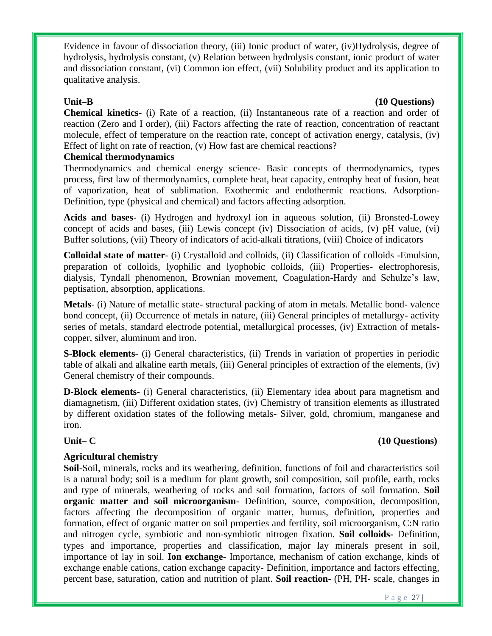Evidence in favour of dissociation theory, (iii) Ionic product of water, (iv)Hydrolysis, degree of hydrolysis, hydrolysis constant, (v) Relation between hydrolysis constant, ionic product of water and dissociation constant, (vi) Common ion effect, (vii) Solubility product and its application to qualitative analysis.

### Unit–B (10 Questions)

**Chemical kinetics**- (i) Rate of a reaction, (ii) Instantaneous rate of a reaction and order of reaction (Zero and I order), (iii) Factors affecting the rate of reaction, concentration of reactant molecule, effect of temperature on the reaction rate, concept of activation energy, catalysis, (iv) Effect of light on rate of reaction, (v) How fast are chemical reactions?

# **Chemical thermodynamics**

Thermodynamics and chemical energy science- Basic concepts of thermodynamics, types process, first law of thermodynamics, complete heat, heat capacity, entrophy heat of fusion, heat of vaporization, heat of sublimation. Exothermic and endothermic reactions. Adsorption-Definition, type (physical and chemical) and factors affecting adsorption.

**Acids and bases**- (i) Hydrogen and hydroxyl ion in aqueous solution, (ii) Bronsted-Lowey concept of acids and bases, (iii) Lewis concept (iv) Dissociation of acids, (v) pH value, (vi) Buffer solutions, (vii) Theory of indicators of acid-alkali titrations, (viii) Choice of indicators

**Colloidal state of matter**- (i) Crystalloid and colloids, (ii) Classification of colloids -Emulsion, preparation of colloids, lyophilic and lyophobic colloids, (iii) Properties- electrophoresis, dialysis, Tyndall phenomenon, Brownian movement, Coagulation-Hardy and Schulze's law, peptisation, absorption, applications.

**Metals**- (i) Nature of metallic state- structural packing of atom in metals. Metallic bond- valence bond concept, (ii) Occurrence of metals in nature, (iii) General principles of metallurgy- activity series of metals, standard electrode potential, metallurgical processes, (iv) Extraction of metalscopper, silver, aluminum and iron.

**S-Block elements**- (i) General characteristics, (ii) Trends in variation of properties in periodic table of alkali and alkaline earth metals, (iii) General principles of extraction of the elements, (iv) General chemistry of their compounds.

**D-Block elements**- (i) General characteristics, (ii) Elementary idea about para magnetism and diamagnetism, (iii) Different oxidation states, (iv) Chemistry of transition elements as illustrated by different oxidation states of the following metals- Silver, gold, chromium, manganese and iron.

### **Unit– C (10 Questions)**

# **Agricultural chemistry**

**Soil**-Soil, minerals, rocks and its weathering, definition, functions of foil and characteristics soil is a natural body; soil is a medium for plant growth, soil composition, soil profile, earth, rocks and type of minerals, weathering of rocks and soil formation, factors of soil formation. **Soil organic matter and soil microorganism**- Definition, source, composition, decomposition, factors affecting the decomposition of organic matter, humus, definition, properties and formation, effect of organic matter on soil properties and fertility, soil microorganism, C:N ratio and nitrogen cycle, symbiotic and non-symbiotic nitrogen fixation. **Soil colloids-** Definition, types and importance, properties and classification, major lay minerals present in soil, importance of lay in soil. **Ion exchange-** Importance, mechanism of cation exchange, kinds of exchange enable cations, cation exchange capacity- Definition, importance and factors effecting, percent base, saturation, cation and nutrition of plant. **Soil reaction-** (PH, PH- scale, changes in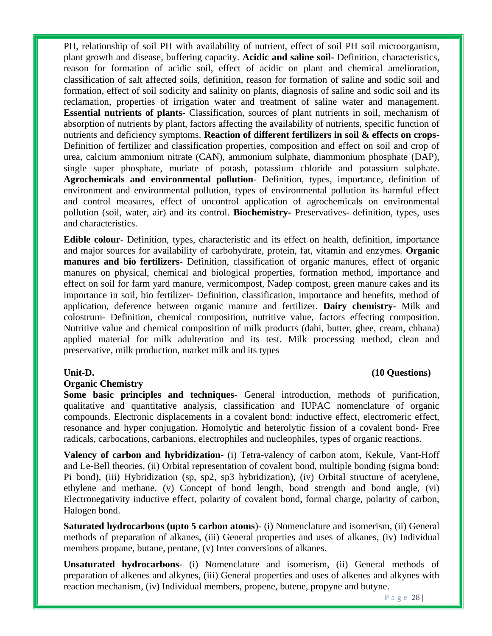PH, relationship of soil PH with availability of nutrient, effect of soil PH soil microorganism, plant growth and disease, buffering capacity. **Acidic and saline soil-** Definition, characteristics, reason for formation of acidic soil, effect of acidic on plant and chemical amelioration, classification of salt affected soils, definition, reason for formation of saline and sodic soil and formation, effect of soil sodicity and salinity on plants, diagnosis of saline and sodic soil and its reclamation, properties of irrigation water and treatment of saline water and management. **Essential nutrients of plants**- Classification, sources of plant nutrients in soil, mechanism of absorption of nutrients by plant, factors affecting the availability of nutrients, specific function of nutrients and deficiency symptoms. **Reaction of different fertilizers in soil & effects on crops**-Definition of fertilizer and classification properties, composition and effect on soil and crop of urea, calcium ammonium nitrate (CAN), ammonium sulphate, diammonium phosphate (DAP), single super phosphate, muriate of potash, potassium chloride and potassium sulphate. **Agrochemicals and environmental pollution**- Definition, types, importance, definition of environment and environmental pollution, types of environmental pollution its harmful effect and control measures, effect of uncontrol application of agrochemicals on environmental pollution (soil, water, air) and its control. **Biochemistry-** Preservatives- definition, types, uses and characteristics.

**Edible colour**- Definition, types, characteristic and its effect on health, definition, importance and major sources for availability of carbohydrate, protein, fat, vitamin and enzymes. **Organic manures and bio fertilizers-** Definition, classification of organic manures, effect of organic manures on physical, chemical and biological properties, formation method, importance and effect on soil for farm yard manure, vermicompost, Nadep compost, green manure cakes and its importance in soil, bio fertilizer- Definition, classification, importance and benefits, method of application, deference between organic manure and fertilizer. **Dairy chemistry-** Milk and colostrum- Definition, chemical composition, nutritive value, factors effecting composition. Nutritive value and chemical composition of milk products (dahi, butter, ghee, cream, chhana) applied material for milk adulteration and its test. Milk processing method, clean and preservative, milk production, market milk and its types

### **Organic Chemistry**

**Some basic principles and techniques-** General introduction, methods of purification, qualitative and quantitative analysis, classification and IUPAC nomenclature of organic compounds. Electronic displacements in a covalent bond: inductive effect, electromeric effect, resonance and hyper conjugation. Homolytic and heterolytic fission of a covalent bond- Free radicals, carbocations, carbanions, electrophiles and nucleophiles, types of organic reactions.

**Valency of carbon and hybridization**- (i) Tetra-valency of carbon atom, Kekule, Vant-Hoff and Le-Bell theories, (ii) Orbital representation of covalent bond, multiple bonding (sigma bond: Pi bond), (iii) Hybridization (sp, sp2, sp3 hybridization), (iv) Orbital structure of acetylene, ethylene and methane, (v) Concept of bond length, bond strength and bond angle, (vi) Electronegativity inductive effect, polarity of covalent bond, formal charge, polarity of carbon, Halogen bond.

**Saturated hydrocarbons (upto 5 carbon atoms**)- (i) Nomenclature and isomerism, (ii) General methods of preparation of alkanes, (iii) General properties and uses of alkanes, (iv) Individual members propane, butane, pentane, (v) Inter conversions of alkanes.

**Unsaturated hydrocarbons**- (i) Nomenclature and isomerism, (ii) General methods of preparation of alkenes and alkynes, (iii) General properties and uses of alkenes and alkynes with reaction mechanism, (iv) Individual members, propene, butene, propyne and butyne.

### Unit-D. (10 Questions)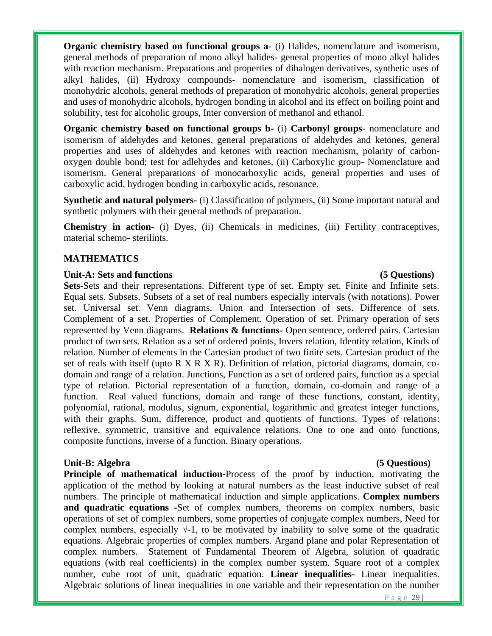**Organic chemistry based on functional groups a**- (i) Halides, nomenclature and isomerism, general methods of preparation of mono alkyl halides- general properties of mono alkyl halides with reaction mechanism. Preparations and properties of dihalogen derivatives, synthetic uses of alkyl halides, (ii) Hydroxy compounds- nomenclature and isomerism, classification of monohydric alcohols, general methods of preparation of monohydric alcohols, general properties and uses of monohydric alcohols, hydrogen bonding in alcohol and its effect on boiling point and solubility, test for alcoholic groups, Inter conversion of methanol and ethanol.

**Organic chemistry based on functional groups b-** (i) **Carbonyl groups**- nomenclature and isomerism of aldehydes and ketones, general preparations of aldehydes and ketones, general properties and uses of aldehydes and ketones with reaction mechanism, polarity of carbonoxygen double bond; test for adlehydes and ketones, (ii) Carboxylic group- Nomenclature and isomerism. General preparations of monocarboxylic acids, general properties and uses of carboxylic acid, hydrogen bonding in carboxylic acids, resonance.

**Synthetic and natural polymers-** (i) Classification of polymers, (ii) Some important natural and synthetic polymers with their general methods of preparation.

**Chemistry in action**- (i) Dyes, (ii) Chemicals in medicines, (iii) Fertility contraceptives, material schemo- sterilints.

# **MATHEMATICS**

### Unit-A: Sets and functions (5 Questions)

**Sets-**Sets and their representations. Different type of set. Empty set. Finite and Infinite sets. Equal sets. Subsets. Subsets of a set of real numbers especially intervals (with notations). Power set. Universal set. Venn diagrams. Union and Intersection of sets. Difference of sets. Complement of a set. Properties of Complement. Operation of set. Primary operation of sets represented by Venn diagrams. **Relations & functions-** Open sentence, ordered pairs. Cartesian product of two sets. Relation as a set of ordered points, Invers relation, Identity relation, Kinds of relation. Number of elements in the Cartesian product of two finite sets. Cartesian product of the set of reals with itself (upto R X R X R). Definition of relation, pictorial diagrams, domain, codomain and range of a relation. Junctions, Function as a set of ordered pairs, function as a special type of relation. Pictorial representation of a function, domain, co-domain and range of a function. Real valued functions, domain and range of these functions, constant, identity, polynomial, rational, modulus, signum, exponential, logarithmic and greatest integer functions, with their graphs. Sum, difference, product and quotients of functions. Types of relations: reflexive, symmetric, transitive and equivalence relations. One to one and onto functions, composite functions, inverse of a function. Binary operations.

### Unit-B: Algebra (5 Questions)

**Principle of mathematical induction-Process of the proof by induction, motivating the** application of the method by looking at natural numbers as the least inductive subset of real numbers. The principle of mathematical induction and simple applications. **Complex numbers and quadratic equations -**Set of complex numbers, theorems on complex numbers, basic operations of set of complex numbers, some properties of conjugate complex numbers, Need for complex numbers, especially  $\sqrt{1}$ , to be motivated by inability to solve some of the quadratic equations. Algebraic properties of complex numbers. Argand plane and polar Representation of complex numbers. Statement of Fundamental Theorem of Algebra, solution of quadratic equations (with real coefficients) in the complex number system. Square root of a complex number, cube root of unit, quadratic equation. **Linear inequalities-** Linear inequalities. Algebraic solutions of linear inequalities in one variable and their representation on the number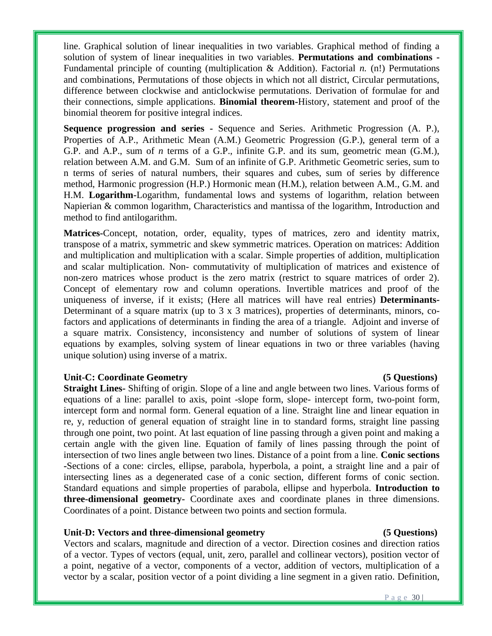line. Graphical solution of linear inequalities in two variables. Graphical method of finding a solution of system of linear inequalities in two variables. **Permutations and combinations -** Fundamental principle of counting (multiplication & Addition). Factorial *n.* (n!) Permutations and combinations, Permutations of those objects in which not all district, Circular permutations, difference between clockwise and anticlockwise permutations. Derivation of formulae for and their connections, simple applications. **Binomial theorem-**History, statement and proof of the binomial theorem for positive integral indices.

**Sequence progression and series -** Sequence and Series. Arithmetic Progression (A. P.), Properties of A.P., Arithmetic Mean (A.M.) Geometric Progression (G.P.), general term of a G.P. and A.P., sum of *n* terms of a G.P., infinite G.P. and its sum, geometric mean (G.M.), relation between A.M. and G.M. Sum of an infinite of G.P. Arithmetic Geometric series, sum to n terms of series of natural numbers, their squares and cubes, sum of series by difference method, Harmonic progression (H.P.) Hormonic mean (H.M.), relation between A.M., G.M. and H.M. **Logarithm-**Logarithm, fundamental lows and systems of logarithm, relation between Napierian & common logarithm, Characteristics and mantissa of the logarithm, Introduction and method to find antilogarithm.

**Matrices-**Concept, notation, order, equality, types of matrices, zero and identity matrix, transpose of a matrix, symmetric and skew symmetric matrices. Operation on matrices: Addition and multiplication and multiplication with a scalar. Simple properties of addition, multiplication and scalar multiplication. Non- commutativity of multiplication of matrices and existence of non-zero matrices whose product is the zero matrix (restrict to square matrices of order 2). Concept of elementary row and column operations. Invertible matrices and proof of the uniqueness of inverse, if it exists; (Here all matrices will have real entries) **Determinants-**Determinant of a square matrix (up to  $3 \times 3$  matrices), properties of determinants, minors, cofactors and applications of determinants in finding the area of a triangle. Adjoint and inverse of a square matrix. Consistency, inconsistency and number of solutions of system of linear equations by examples, solving system of linear equations in two or three variables (having unique solution) using inverse of a matrix.

### **Unit-C: Coordinate Geometry (5 Questions)**

**Straight Lines-** Shifting of origin. Slope of a line and angle between two lines. Various forms of equations of a line: parallel to axis, point -slope form, slope- intercept form, two-point form, intercept form and normal form. General equation of a line. Straight line and linear equation in re, y, reduction of general equation of straight line in to standard forms, straight line passing through one point, two point. At last equation of line passing through a given point and making a certain angle with the given line. Equation of family of lines passing through the point of intersection of two lines angle between two lines. Distance of a point from a line. **Conic sections -**Sections of a cone: circles, ellipse, parabola, hyperbola, a point, a straight line and a pair of intersecting lines as a degenerated case of a conic section, different forms of conic section. Standard equations and simple properties of parabola, ellipse and hyperbola. **Introduction to three-dimensional geometry-** Coordinate axes and coordinate planes in three dimensions. Coordinates of a point. Distance between two points and section formula.

### **Unit-D: Vectors and three-dimensional geometry (5 Questions)**

Vectors and scalars, magnitude and direction of a vector. Direction cosines and direction ratios of a vector. Types of vectors (equal, unit, zero, parallel and collinear vectors), position vector of a point, negative of a vector, components of a vector, addition of vectors, multiplication of a vector by a scalar, position vector of a point dividing a line segment in a given ratio. Definition,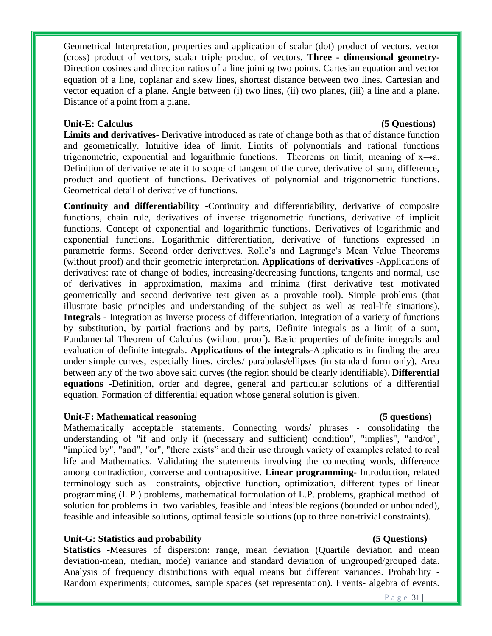Geometrical Interpretation, properties and application of scalar (dot) product of vectors, vector (cross) product of vectors, scalar triple product of vectors. **Three - dimensional geometry-**Direction cosines and direction ratios of a line joining two points. Cartesian equation and vector equation of a line, coplanar and skew lines, shortest distance between two lines. Cartesian and vector equation of a plane. Angle between (i) two lines, (ii) two planes, (iii) a line and a plane. Distance of a point from a plane.

# Unit-E: Calculus *Calculus* (5 Questions)

**Limits and derivatives-** Derivative introduced as rate of change both as that of distance function and geometrically. Intuitive idea of limit. Limits of polynomials and rational functions trigonometric, exponential and logarithmic functions. Theorems on limit, meaning of  $x \rightarrow a$ . Definition of derivative relate it to scope of tangent of the curve, derivative of sum, difference, product and quotient of functions. Derivatives of polynomial and trigonometric functions. Geometrical detail of derivative of functions.

**Continuity and differentiability -**Continuity and differentiability, derivative of composite functions, chain rule, derivatives of inverse trigonometric functions, derivative of implicit functions. Concept of exponential and logarithmic functions. Derivatives of logarithmic and exponential functions. Logarithmic differentiation, derivative of functions expressed in parametric forms. Second order derivatives. Rolle's and Lagrange's Mean Value Theorems (without proof) and their geometric interpretation. **Applications of derivatives -**Applications of derivatives: rate of change of bodies, increasing/decreasing functions, tangents and normal, use of derivatives in approximation, maxima and minima (first derivative test motivated geometrically and second derivative test given as a provable tool). Simple problems (that illustrate basic principles and understanding of the subject as well as real-life situations). **Integrals -** Integration as inverse process of differentiation. Integration of a variety of functions by substitution, by partial fractions and by parts, Definite integrals as a limit of a sum, Fundamental Theorem of Calculus (without proof). Basic properties of definite integrals and evaluation of definite integrals. **Applications of the integrals-**Applications in finding the area under simple curves, especially lines, circles/ parabolas/ellipses (in standard form only), Area between any of the two above said curves (the region should be clearly identifiable). **Differential equations -**Definition, order and degree, general and particular solutions of a differential equation. Formation of differential equation whose general solution is given.

### **Unit-F: Mathematical reasoning (5 questions)**

Mathematically acceptable statements. Connecting words/ phrases - consolidating the understanding of "if and only if (necessary and sufficient) condition", "implies", "and/or", "implied by", "and", "or", "there exists" and their use through variety of examples related to real life and Mathematics. Validating the statements involving the connecting words, difference among contradiction, converse and contrapositive. **Linear programming**- Introduction, related terminology such as constraints, objective function, optimization, different types of linear programming (L.P.) problems, mathematical formulation of L.P. problems, graphical method of solution for problems in two variables, feasible and infeasible regions (bounded or unbounded), feasible and infeasible solutions, optimal feasible solutions (up to three non-trivial constraints).

# Unit-G: Statistics and probability **and Contact Contact Contact Contact Contact Contact Contact Contact Contact Contact Contact Contact Contact Contact Contact Contact Contact Contact Contact Contact Contact Contact Contac**

**Statistics** -Measures of dispersion: range, mean deviation (Quartile deviation and mean deviation-mean, median, mode) variance and standard deviation of ungrouped/grouped data. Analysis of frequency distributions with equal means but different variances. Probability - Random experiments; outcomes, sample spaces (set representation). Events- algebra of events.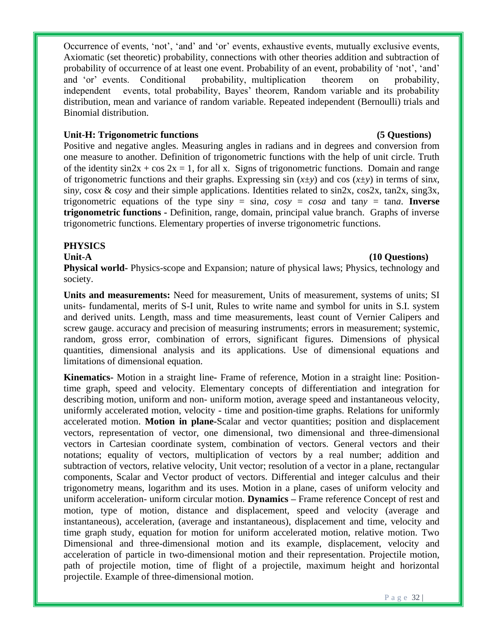Occurrence of events, 'not', 'and' and 'or' events, exhaustive events, mutually exclusive events, Axiomatic (set theoretic) probability, connections with other theories addition and subtraction of probability of occurrence of at least one event. Probability of an event, probability of 'not', 'and' and 'or' events. Conditional probability, multiplication theorem on probability, independent events, total probability, Bayes' theorem, Random variable and its probability distribution, mean and variance of random variable. Repeated independent (Bernoulli) trials and Binomial distribution.

# Unit-H: Trigonometric functions (5 Questions)

# Positive and negative angles. Measuring angles in radians and in degrees and conversion from one measure to another. Definition of trigonometric functions with the help of unit circle. Truth of the identity  $\sin 2x + \cos 2x = 1$ , for all x. Signs of trigonometric functions. Domain and range of trigonometric functions and their graphs. Expressing  $\sin(x \pm y)$  and  $\cos(x \pm y)$  in terms of  $\sin x$ , sin*y*, cos*x* & cos*y* and their simple applications. Identities related to sin2x, cos2x, tan2x, sing3x, trigonometric equations of the type  $\sin y = \sin a$ ,  $\cos y = \cos a$  and  $\tan y = \tan a$ . Inverse **trigonometric functions -** Definition, range, domain, principal value branch. Graphs of inverse trigonometric functions. Elementary properties of inverse trigonometric functions.

# **PHYSICS**

### Unit-A (10 Questions)

**Physical world-** Physics-scope and Expansion; nature of physical laws; Physics, technology and society.

**Units and measurements:** Need for measurement, Units of measurement, systems of units; SI units- fundamental, merits of S-I unit, Rules to write name and symbol for units in S.I. system and derived units. Length, mass and time measurements, least count of Vernier Calipers and screw gauge. accuracy and precision of measuring instruments; errors in measurement; systemic, random, gross error, combination of errors, significant figures. Dimensions of physical quantities, dimensional analysis and its applications. Use of dimensional equations and limitations of dimensional equation.

**Kinematics-** Motion in a straight line**-** Frame of reference, Motion in a straight line: Positiontime graph, speed and velocity. Elementary concepts of differentiation and integration for describing motion, uniform and non- uniform motion, average speed and instantaneous velocity, uniformly accelerated motion, velocity - time and position-time graphs. Relations for uniformly accelerated motion. **Motion in plane-**Scalar and vector quantities; position and displacement vectors, representation of vector, one dimensional, two dimensional and three-dimensional vectors in Cartesian coordinate system, combination of vectors. General vectors and their notations; equality of vectors, multiplication of vectors by a real number; addition and subtraction of vectors, relative velocity, Unit vector; resolution of a vector in a plane, rectangular components, Scalar and Vector product of vectors. Differential and integer calculus and their trigonometry means, logarithm and its uses. Motion in a plane, cases of uniform velocity and uniform acceleration- uniform circular motion. **Dynamics –** Frame reference Concept of rest and motion, type of motion, distance and displacement, speed and velocity (average and instantaneous), acceleration, (average and instantaneous), displacement and time, velocity and time graph study, equation for motion for uniform accelerated motion, relative motion. Two Dimensional and three-dimensional motion and its example, displacement, velocity and acceleration of particle in two-dimensional motion and their representation. Projectile motion, path of projectile motion, time of flight of a projectile, maximum height and horizontal projectile. Example of three-dimensional motion.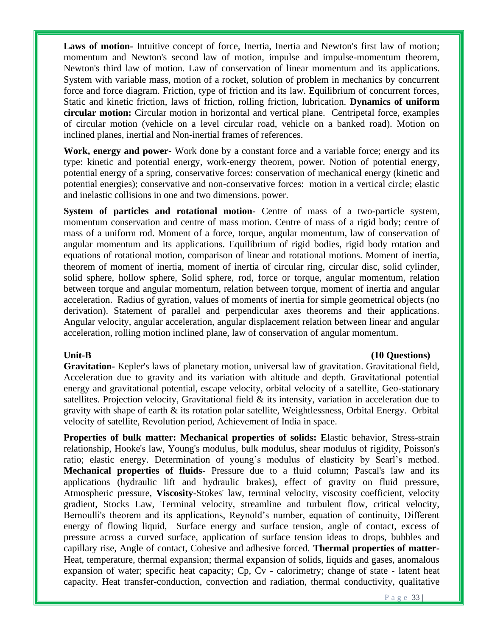**Laws of motion-** Intuitive concept of force, Inertia, Inertia and Newton's first law of motion; momentum and Newton's second law of motion, impulse and impulse-momentum theorem, Newton's third law of motion. Law of conservation of linear momentum and its applications. System with variable mass, motion of a rocket, solution of problem in mechanics by concurrent force and force diagram. Friction, type of friction and its law. Equilibrium of concurrent forces, Static and kinetic friction, laws of friction, rolling friction, lubrication. **Dynamics of uniform circular motion:** Circular motion in horizontal and vertical plane. Centripetal force, examples of circular motion (vehicle on a level circular road, vehicle on a banked road). Motion on inclined planes, inertial and Non-inertial frames of references.

**Work, energy and power-** Work done by a constant force and a variable force; energy and its type: kinetic and potential energy, work-energy theorem, power. Notion of potential energy, potential energy of a spring, conservative forces: conservation of mechanical energy (kinetic and potential energies); conservative and non-conservative forces: motion in a vertical circle; elastic and inelastic collisions in one and two dimensions. power.

**System of particles and rotational motion-** Centre of mass of a two-particle system, momentum conservation and centre of mass motion. Centre of mass of a rigid body; centre of mass of a uniform rod. Moment of a force, torque, angular momentum, law of conservation of angular momentum and its applications. Equilibrium of rigid bodies, rigid body rotation and equations of rotational motion, comparison of linear and rotational motions. Moment of inertia, theorem of moment of inertia, moment of inertia of circular ring, circular disc, solid cylinder, solid sphere, hollow sphere, Solid sphere, rod, force or torque, angular momentum, relation between torque and angular momentum, relation between torque, moment of inertia and angular acceleration. Radius of gyration, values of moments of inertia for simple geometrical objects (no derivation). Statement of parallel and perpendicular axes theorems and their applications. Angular velocity, angular acceleration, angular displacement relation between linear and angular acceleration, rolling motion inclined plane, law of conservation of angular momentum.

### Unit-B (10 Questions)

**Gravitation-** Kepler's laws of planetary motion, universal law of gravitation. Gravitational field, Acceleration due to gravity and its variation with altitude and depth. Gravitational potential energy and gravitational potential, escape velocity, orbital velocity of a satellite, Geo-stationary satellites. Projection velocity, Gravitational field & its intensity, variation in acceleration due to gravity with shape of earth & its rotation polar satellite, Weightlessness, Orbital Energy. Orbital velocity of satellite, Revolution period, Achievement of India in space.

**Properties of bulk matter: Mechanical properties of solids: E**lastic behavior, Stress-strain relationship, Hooke's law, Young's modulus, bulk modulus, shear modulus of rigidity, Poisson's ratio; elastic energy. Determination of young's modulus of elasticity by Searl's method. **Mechanical properties of fluids-** Pressure due to a fluid column; Pascal's law and its applications (hydraulic lift and hydraulic brakes), effect of gravity on fluid pressure, Atmospheric pressure, **Viscosity**-Stokes' law, terminal velocity, viscosity coefficient, velocity gradient, Stocks Law, Terminal velocity, streamline and turbulent flow, critical velocity, Bernoulli's theorem and its applications, Reynold's number, equation of continuity, Different energy of flowing liquid, Surface energy and surface tension, angle of contact, excess of pressure across a curved surface, application of surface tension ideas to drops, bubbles and capillary rise, Angle of contact, Cohesive and adhesive forced. **Thermal properties of matter-**Heat, temperature, thermal expansion; thermal expansion of solids, liquids and gases, anomalous expansion of water; specific heat capacity; Cp, Cv - calorimetry; change of state - latent heat capacity. Heat transfer-conduction, convection and radiation, thermal conductivity, qualitative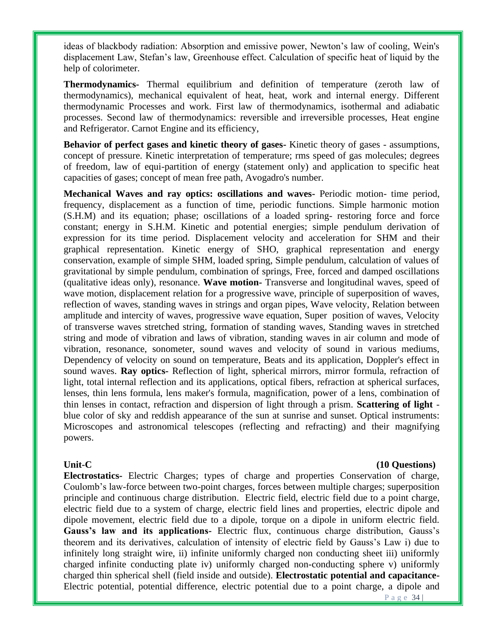ideas of blackbody radiation: Absorption and emissive power, Newton's law of cooling, Wein's displacement Law, Stefan's law, Greenhouse effect. Calculation of specific heat of liquid by the help of colorimeter.

**Thermodynamics-** Thermal equilibrium and definition of temperature (zeroth law of thermodynamics), mechanical equivalent of heat, heat, work and internal energy. Different thermodynamic Processes and work. First law of thermodynamics, isothermal and adiabatic processes. Second law of thermodynamics: reversible and irreversible processes, Heat engine and Refrigerator. Carnot Engine and its efficiency,

**Behavior of perfect gases and kinetic theory of gases-** Kinetic theory of gases - assumptions, concept of pressure. Kinetic interpretation of temperature; rms speed of gas molecules; degrees of freedom, law of equi-partition of energy (statement only) and application to specific heat capacities of gases; concept of mean free path, Avogadro's number.

**Mechanical Waves and ray optics: oscillations and waves-** Periodic motion- time period, frequency, displacement as a function of time, periodic functions. Simple harmonic motion (S.H.M) and its equation; phase; oscillations of a loaded spring- restoring force and force constant; energy in S.H.M. Kinetic and potential energies; simple pendulum derivation of expression for its time period. Displacement velocity and acceleration for SHM and their graphical representation. Kinetic energy of SHO, graphical representation and energy conservation, example of simple SHM, loaded spring, Simple pendulum, calculation of values of gravitational by simple pendulum, combination of springs, Free, forced and damped oscillations (qualitative ideas only), resonance. **Wave motion-** Transverse and longitudinal waves, speed of wave motion, displacement relation for a progressive wave, principle of superposition of waves, reflection of waves, standing waves in strings and organ pipes, Wave velocity, Relation between amplitude and intercity of waves, progressive wave equation, Super position of waves, Velocity of transverse waves stretched string, formation of standing waves, Standing waves in stretched string and mode of vibration and laws of vibration, standing waves in air column and mode of vibration, resonance, sonometer, sound waves and velocity of sound in various mediums, Dependency of velocity on sound on temperature, Beats and its application, Doppler's effect in sound waves. **Ray optics-** Reflection of light, spherical mirrors, mirror formula, refraction of light, total internal reflection and its applications, optical fibers, refraction at spherical surfaces, lenses, thin lens formula, lens maker's formula, magnification, power of a lens, combination of thin lenses in contact, refraction and dispersion of light through a prism. **Scattering of light** blue color of sky and reddish appearance of the sun at sunrise and sunset. Optical instruments: Microscopes and astronomical telescopes (reflecting and refracting) and their magnifying powers.

**Electrostatics-** Electric Charges; types of charge and properties Conservation of charge, Coulomb's law-force between two-point charges, forces between multiple charges; superposition principle and continuous charge distribution. Electric field, electric field due to a point charge, electric field due to a system of charge, electric field lines and properties, electric dipole and dipole movement, electric field due to a dipole, torque on a dipole in uniform electric field. **Gauss's law and its applications-** Electric flux, continuous charge distribution, Gauss's theorem and its derivatives, calculation of intensity of electric field by Gauss's Law i) due to infinitely long straight wire, ii) infinite uniformly charged non conducting sheet iii) uniformly charged infinite conducting plate iv) uniformly charged non-conducting sphere v) uniformly charged thin spherical shell (field inside and outside). **Electrostatic potential and capacitance-**Electric potential, potential difference, electric potential due to a point charge, a dipole and

### Unit-C (10 Questions) *Unit-C*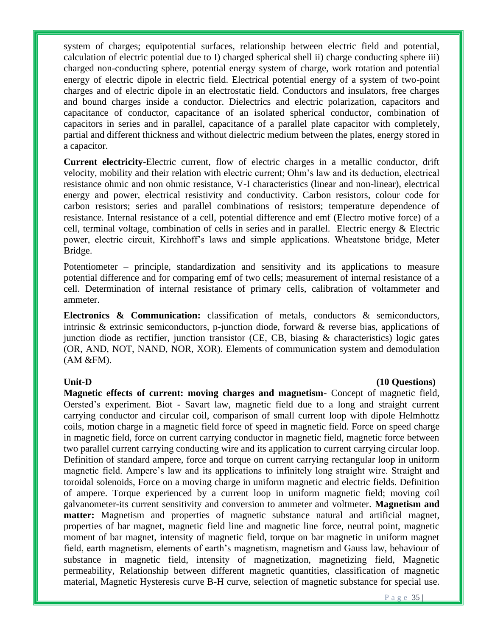system of charges; equipotential surfaces, relationship between electric field and potential, calculation of electric potential due to I) charged spherical shell ii) charge conducting sphere iii) charged non-conducting sphere, potential energy system of charge, work rotation and potential energy of electric dipole in electric field. Electrical potential energy of a system of two-point charges and of electric dipole in an electrostatic field. Conductors and insulators, free charges and bound charges inside a conductor. Dielectrics and electric polarization, capacitors and capacitance of conductor, capacitance of an isolated spherical conductor, combination of capacitors in series and in parallel, capacitance of a parallel plate capacitor with completely, partial and different thickness and without dielectric medium between the plates, energy stored in a capacitor.

**Current electricity-**Electric current, flow of electric charges in a metallic conductor, drift velocity, mobility and their relation with electric current; Ohm's law and its deduction, electrical resistance ohmic and non ohmic resistance, V-I characteristics (linear and non-linear), electrical energy and power, electrical resistivity and conductivity. Carbon resistors, colour code for carbon resistors; series and parallel combinations of resistors; temperature dependence of resistance. Internal resistance of a cell, potential difference and emf (Electro motive force) of a cell, terminal voltage, combination of cells in series and in parallel. Electric energy & Electric power, electric circuit, Kirchhoff's laws and simple applications. Wheatstone bridge, Meter Bridge.

Potentiometer – principle, standardization and sensitivity and its applications to measure potential difference and for comparing emf of two cells; measurement of internal resistance of a cell. Determination of internal resistance of primary cells, calibration of voltammeter and ammeter.

**Electronics & Communication:** classification of metals, conductors & semiconductors, intrinsic & extrinsic semiconductors, p-junction diode, forward & reverse bias, applications of junction diode as rectifier, junction transistor (CE, CB, biasing & characteristics) logic gates (OR, AND, NOT, NAND, NOR, XOR). Elements of communication system and demodulation (AM &FM).

### Unit-D (10 Questions) *Unit-D*

**Magnetic effects of current: moving charges and magnetism-** Concept of magnetic field, Oersted's experiment. Biot - Savart law, magnetic field due to a long and straight current carrying conductor and circular coil, comparison of small current loop with dipole Helmhottz coils, motion charge in a magnetic field force of speed in magnetic field. Force on speed charge in magnetic field, force on current carrying conductor in magnetic field, magnetic force between two parallel current carrying conducting wire and its application to current carrying circular loop. Definition of standard ampere, force and torque on current carrying rectangular loop in uniform magnetic field. Ampere's law and its applications to infinitely long straight wire. Straight and toroidal solenoids, Force on a moving charge in uniform magnetic and electric fields. Definition of ampere. Torque experienced by a current loop in uniform magnetic field; moving coil galvanometer-its current sensitivity and conversion to ammeter and voltmeter. **Magnetism and matter:** Magnetism and properties of magnetic substance natural and artificial magnet, properties of bar magnet, magnetic field line and magnetic line force, neutral point, magnetic moment of bar magnet, intensity of magnetic field, torque on bar magnetic in uniform magnet field, earth magnetism, elements of earth's magnetism, magnetism and Gauss law, behaviour of substance in magnetic field, intensity of magnetization, magnetizing field, Magnetic permeability, Relationship between different magnetic quantities, classification of magnetic material, Magnetic Hysteresis curve B-H curve, selection of magnetic substance for special use.